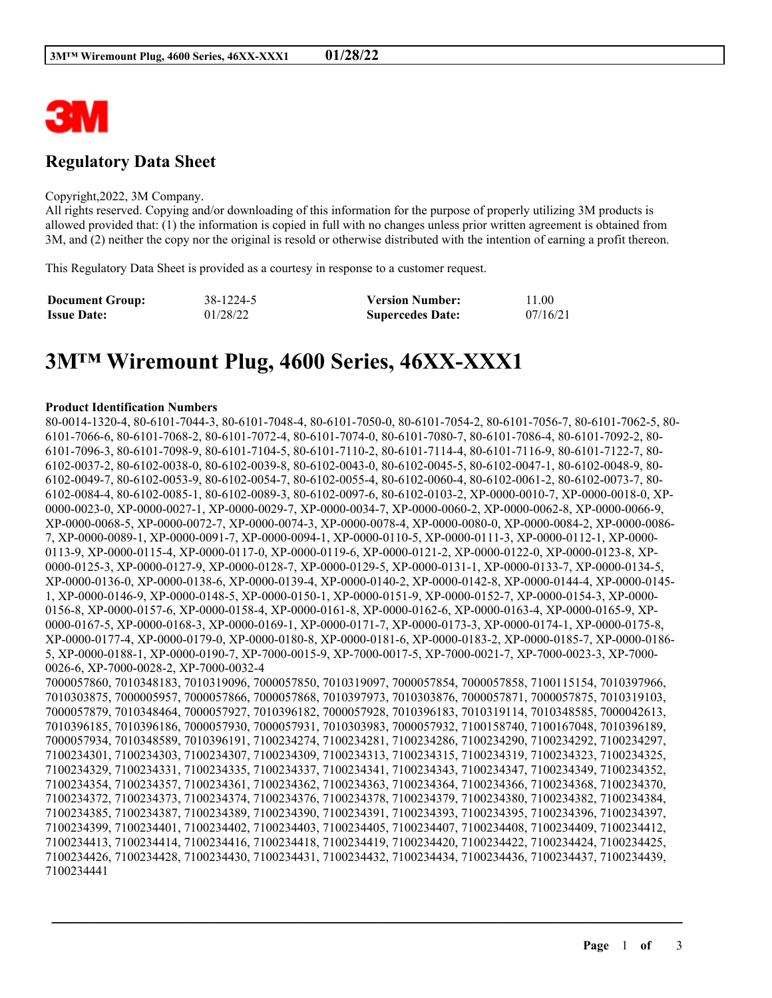

## **Regulatory Data Sheet**

#### Copyright,2022, 3M Company.

All rights reserved. Copying and/or downloading of this information for the purpose of properly utilizing 3M products is allowed provided that: (1) the information is copied in full with no changes unless prior written agreement is obtained from 3M, and (2) neither the copy nor the original is resold or otherwise distributed with the intention of earning a profit thereon.

This Regulatory Data Sheet is provided as a courtesy in response to a customer request.

| <b>Document Group:</b> | 38-1224-5 | <b>Version Number:</b>  | 11.00    |
|------------------------|-----------|-------------------------|----------|
| <b>Issue Date:</b>     | 01/28/22  | <b>Supercedes Date:</b> | 07/16/21 |

# **3M™ Wiremount Plug, 4600 Series, 46XX-XXX1**

#### **Product Identification Numbers**

80-0014-1320-4, 80-6101-7044-3, 80-6101-7048-4, 80-6101-7050-0, 80-6101-7054-2, 80-6101-7056-7, 80-6101-7062-5, 80- 6101-7066-6, 80-6101-7068-2, 80-6101-7072-4, 80-6101-7074-0, 80-6101-7080-7, 80-6101-7086-4, 80-6101-7092-2, 80- 6101-7096-3, 80-6101-7098-9, 80-6101-7104-5, 80-6101-7110-2, 80-6101-7114-4, 80-6101-7116-9, 80-6101-7122-7, 80- 6102-0037-2, 80-6102-0038-0, 80-6102-0039-8, 80-6102-0043-0, 80-6102-0045-5, 80-6102-0047-1, 80-6102-0048-9, 80- 6102-0049-7, 80-6102-0053-9, 80-6102-0054-7, 80-6102-0055-4, 80-6102-0060-4, 80-6102-0061-2, 80-6102-0073-7, 80- 6102-0084-4, 80-6102-0085-1, 80-6102-0089-3, 80-6102-0097-6, 80-6102-0103-2, XP-0000-0010-7, XP-0000-0018-0, XP-0000-0023-0, XP-0000-0027-1, XP-0000-0029-7, XP-0000-0034-7, XP-0000-0060-2, XP-0000-0062-8, XP-0000-0066-9, XP-0000-0068-5, XP-0000-0072-7, XP-0000-0074-3, XP-0000-0078-4, XP-0000-0080-0, XP-0000-0084-2, XP-0000-0086- 7, XP-0000-0089-1, XP-0000-0091-7, XP-0000-0094-1, XP-0000-0110-5, XP-0000-0111-3, XP-0000-0112-1, XP-0000- 0113-9, XP-0000-0115-4, XP-0000-0117-0, XP-0000-0119-6, XP-0000-0121-2, XP-0000-0122-0, XP-0000-0123-8, XP-0000-0125-3, XP-0000-0127-9, XP-0000-0128-7, XP-0000-0129-5, XP-0000-0131-1, XP-0000-0133-7, XP-0000-0134-5, XP-0000-0136-0, XP-0000-0138-6, XP-0000-0139-4, XP-0000-0140-2, XP-0000-0142-8, XP-0000-0144-4, XP-0000-0145- 1, XP-0000-0146-9, XP-0000-0148-5, XP-0000-0150-1, XP-0000-0151-9, XP-0000-0152-7, XP-0000-0154-3, XP-0000- 0156-8, XP-0000-0157-6, XP-0000-0158-4, XP-0000-0161-8, XP-0000-0162-6, XP-0000-0163-4, XP-0000-0165-9, XP-0000-0167-5, XP-0000-0168-3, XP-0000-0169-1, XP-0000-0171-7, XP-0000-0173-3, XP-0000-0174-1, XP-0000-0175-8, XP-0000-0177-4, XP-0000-0179-0, XP-0000-0180-8, XP-0000-0181-6, XP-0000-0183-2, XP-0000-0185-7, XP-0000-0186- 5, XP-0000-0188-1, XP-0000-0190-7, XP-7000-0015-9, XP-7000-0017-5, XP-7000-0021-7, XP-7000-0023-3, XP-7000- 0026-6, XP-7000-0028-2, XP-7000-0032-4 7000057860, 7010348183, 7010319096, 7000057850, 7010319097, 7000057854, 7000057858, 7100115154, 7010397966, 7010303875, 7000005957, 7000057866, 7000057868, 7010397973, 7010303876, 7000057871, 7000057875, 7010319103, 7000057879, 7010348464, 7000057927, 7010396182, 7000057928, 7010396183, 7010319114, 7010348585, 7000042613, 7010396185, 7010396186, 7000057930, 7000057931, 7010303983, 7000057932, 7100158740, 7100167048, 7010396189, 7000057934, 7010348589, 7010396191, 7100234274, 7100234281, 7100234286, 7100234290, 7100234292, 7100234297, 7100234301, 7100234303, 7100234307, 7100234309, 7100234313, 7100234315, 7100234319, 7100234323, 7100234325, 7100234329, 7100234331, 7100234335, 7100234337, 7100234341, 7100234343, 7100234347, 7100234349, 7100234352, 7100234354, 7100234357, 7100234361, 7100234362, 7100234363, 7100234364, 7100234366, 7100234368, 7100234370, 7100234372, 7100234373, 7100234374, 7100234376, 7100234378, 7100234379, 7100234380, 7100234382, 7100234384, 7100234385, 7100234387, 7100234389, 7100234390, 7100234391, 7100234393, 7100234395, 7100234396, 7100234397, 7100234399, 7100234401, 7100234402, 7100234403, 7100234405, 7100234407, 7100234408, 7100234409, 7100234412, 7100234413, 7100234414, 7100234416, 7100234418, 7100234419, 7100234420, 7100234422, 7100234424, 7100234425, 7100234426, 7100234428, 7100234430, 7100234431, 7100234432, 7100234434, 7100234436, 7100234437, 7100234439, 7100234441

\_\_\_\_\_\_\_\_\_\_\_\_\_\_\_\_\_\_\_\_\_\_\_\_\_\_\_\_\_\_\_\_\_\_\_\_\_\_\_\_\_\_\_\_\_\_\_\_\_\_\_\_\_\_\_\_\_\_\_\_\_\_\_\_\_\_\_\_\_\_\_\_\_\_\_\_\_\_\_\_\_\_\_\_\_\_\_\_\_\_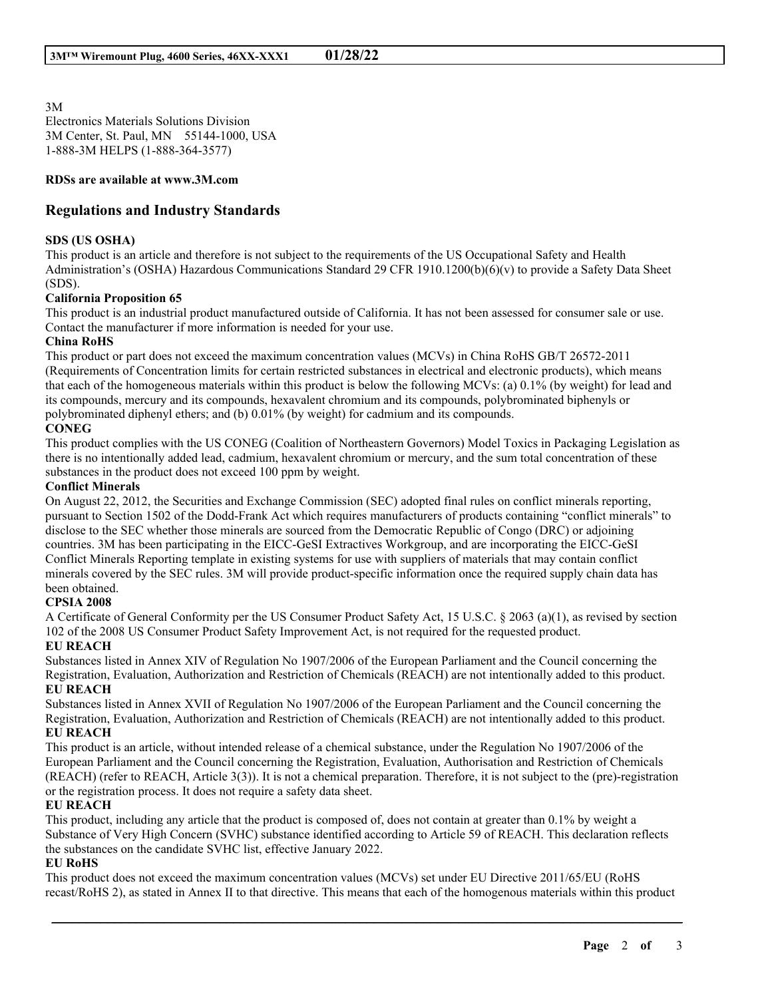3M Electronics Materials Solutions Division 3M Center, St. Paul, MN 55144-1000, USA 1-888-3M HELPS (1-888-364-3577)

#### **RDSs are available at www.3M.com**

#### **Regulations and Industry Standards**

#### **SDS (US OSHA)**

This product is an article and therefore is not subject to the requirements of the US Occupational Safety and Health Administration's (OSHA) Hazardous Communications Standard 29 CFR 1910.1200(b)(6)(v) to provide a Safety Data Sheet (SDS).

#### **California Proposition 65**

This product is an industrial product manufactured outside of California. It has not been assessed for consumer sale or use. Contact the manufacturer if more information is needed for your use.

#### **China RoHS**

This product or part does not exceed the maximum concentration values (MCVs) in China RoHS GB/T 26572-2011 (Requirements of Concentration limits for certain restricted substances in electrical and electronic products), which means that each of the homogeneous materials within this product is below the following MCVs: (a) 0.1% (by weight) for lead and its compounds, mercury and its compounds, hexavalent chromium and its compounds, polybrominated biphenyls or polybrominated diphenyl ethers; and (b) 0.01% (by weight) for cadmium and its compounds.

#### **CONEG**

This product complies with the US CONEG (Coalition of Northeastern Governors) Model Toxics in Packaging Legislation as there is no intentionally added lead, cadmium, hexavalent chromium or mercury, and the sum total concentration of these substances in the product does not exceed 100 ppm by weight.

#### **Conflict Minerals**

On August 22, 2012, the Securities and Exchange Commission (SEC) adopted final rules on conflict minerals reporting, pursuant to Section 1502 of the Dodd-Frank Act which requires manufacturers of products containing "conflict minerals" to disclose to the SEC whether those minerals are sourced from the Democratic Republic of Congo (DRC) or adjoining countries. 3M has been participating in the EICC-GeSI Extractives Workgroup, and are incorporating the EICC-GeSI Conflict Minerals Reporting template in existing systems for use with suppliers of materials that may contain conflict minerals covered by the SEC rules. 3M will provide product-specific information once the required supply chain data has been obtained.

#### **CPSIA 2008**

A Certificate of General Conformity per the US Consumer Product Safety Act, 15 U.S.C. § 2063 (a)(1), as revised by section 102 of the 2008 US Consumer Product Safety Improvement Act, is not required for the requested product. **EU REACH**

Substances listed in Annex XIV of Regulation No 1907/2006 of the European Parliament and the Council concerning the Registration, Evaluation, Authorization and Restriction of Chemicals (REACH) are not intentionally added to this product. **EU REACH**

Substances listed in Annex XVII of Regulation No 1907/2006 of the European Parliament and the Council concerning the Registration, Evaluation, Authorization and Restriction of Chemicals (REACH) are not intentionally added to this product. **EU REACH**

This product is an article, without intended release of a chemical substance, under the Regulation No 1907/2006 of the European Parliament and the Council concerning the Registration, Evaluation, Authorisation and Restriction of Chemicals (REACH) (refer to REACH, Article 3(3)). It is not a chemical preparation. Therefore, it is not subject to the (pre)-registration or the registration process. It does not require a safety data sheet.

#### **EU REACH**

This product, including any article that the product is composed of, does not contain at greater than 0.1% by weight a Substance of Very High Concern (SVHC) substance identified according to Article 59 of REACH. This declaration reflects the substances on the candidate SVHC list, effective January 2022.

#### **EU RoHS**

This product does not exceed the maximum concentration values (MCVs) set under EU Directive 2011/65/EU (RoHS recast/RoHS 2), as stated in Annex II to that directive. This means that each of the homogenous materials within this product

\_\_\_\_\_\_\_\_\_\_\_\_\_\_\_\_\_\_\_\_\_\_\_\_\_\_\_\_\_\_\_\_\_\_\_\_\_\_\_\_\_\_\_\_\_\_\_\_\_\_\_\_\_\_\_\_\_\_\_\_\_\_\_\_\_\_\_\_\_\_\_\_\_\_\_\_\_\_\_\_\_\_\_\_\_\_\_\_\_\_